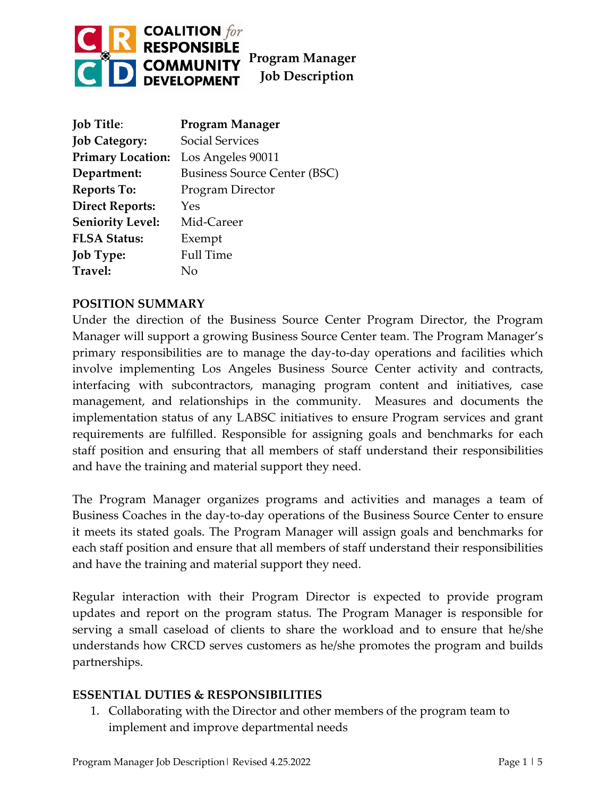

| <b>Job Title:</b>        | <b>Program Manager</b>              |
|--------------------------|-------------------------------------|
| <b>Job Category:</b>     | Social Services                     |
| <b>Primary Location:</b> | Los Angeles 90011                   |
| Department:              | <b>Business Source Center (BSC)</b> |
| <b>Reports To:</b>       | Program Director                    |
| <b>Direct Reports:</b>   | Yes                                 |
| <b>Seniority Level:</b>  | Mid-Career                          |
| <b>FLSA Status:</b>      | Exempt                              |
| <b>Job Type:</b>         | <b>Full Time</b>                    |
| Travel:                  | Nο                                  |

### **POSITION SUMMARY**

Under the direction of the Business Source Center Program Director, the Program Manager will support a growing Business Source Center team. The Program Manager's primary responsibilities are to manage the day-to-day operations and facilities which involve implementing Los Angeles Business Source Center activity and contracts, interfacing with subcontractors, managing program content and initiatives, case management, and relationships in the community. Measures and documents the implementation status of any LABSC initiatives to ensure Program services and grant requirements are fulfilled. Responsible for assigning goals and benchmarks for each staff position and ensuring that all members of staff understand their responsibilities and have the training and material support they need.

The Program Manager organizes programs and activities and manages a team of Business Coaches in the day-to-day operations of the Business Source Center to ensure it meets its stated goals. The Program Manager will assign goals and benchmarks for each staff position and ensure that all members of staff understand their responsibilities and have the training and material support they need.

Regular interaction with their Program Director is expected to provide program updates and report on the program status. The Program Manager is responsible for serving a small caseload of clients to share the workload and to ensure that he/she understands how CRCD serves customers as he/she promotes the program and builds partnerships.

### **ESSENTIAL DUTIES & RESPONSIBILITIES**

1. Collaborating with the Director and other members of the program team to implement and improve departmental needs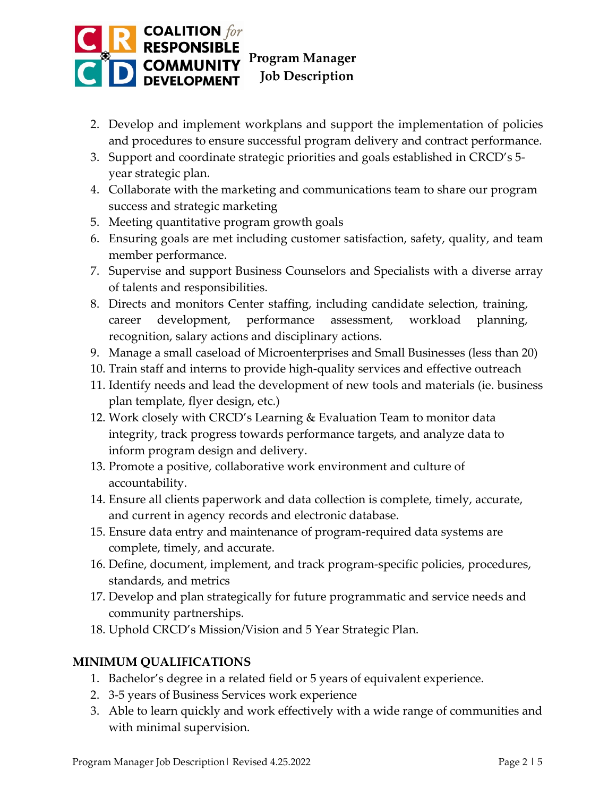

- 2. Develop and implement workplans and support the implementation of policies and procedures to ensure successful program delivery and contract performance.
- 3. Support and coordinate strategic priorities and goals established in CRCD's 5 year strategic plan.
- 4. Collaborate with the marketing and communications team to share our program success and strategic marketing
- 5. Meeting quantitative program growth goals
- 6. Ensuring goals are met including customer satisfaction, safety, quality, and team member performance.
- 7. Supervise and support Business Counselors and Specialists with a diverse array of talents and responsibilities.
- 8. Directs and monitors Center staffing, including candidate selection, training, career development, performance assessment, workload planning, recognition, salary actions and disciplinary actions.
- 9. Manage a small caseload of Microenterprises and Small Businesses (less than 20)
- 10. Train staff and interns to provide high-quality services and effective outreach
- 11. Identify needs and lead the development of new tools and materials (ie. business plan template, flyer design, etc.)
- 12. Work closely with CRCD's Learning & Evaluation Team to monitor data integrity, track progress towards performance targets, and analyze data to inform program design and delivery.
- 13. Promote a positive, collaborative work environment and culture of accountability.
- 14. Ensure all clients paperwork and data collection is complete, timely, accurate, and current in agency records and electronic database.
- 15. Ensure data entry and maintenance of program-required data systems are complete, timely, and accurate.
- 16. Define, document, implement, and track program-specific policies, procedures, standards, and metrics
- 17. Develop and plan strategically for future programmatic and service needs and community partnerships.
- 18. Uphold CRCD's Mission/Vision and 5 Year Strategic Plan.

# **MINIMUM QUALIFICATIONS**

- 1. Bachelor's degree in a related field or 5 years of equivalent experience.
- 2. 3-5 years of Business Services work experience
- 3. Able to learn quickly and work effectively with a wide range of communities and with minimal supervision.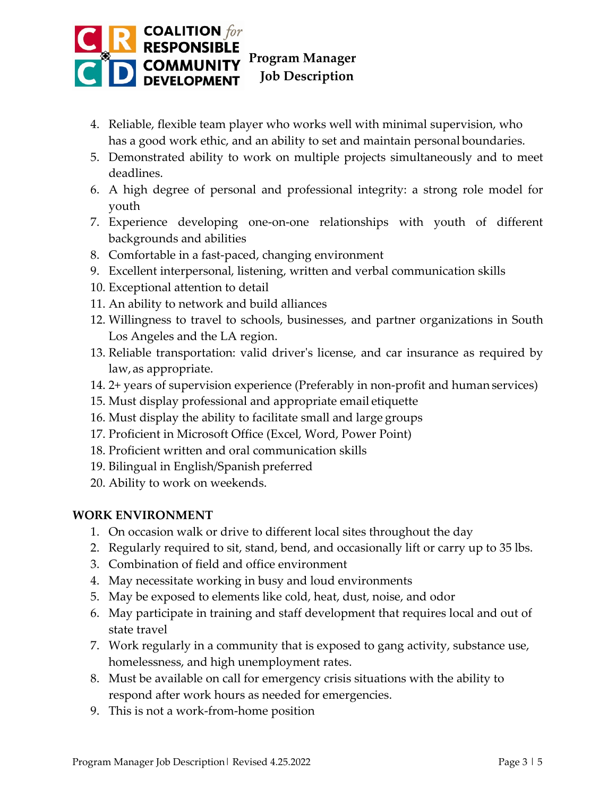

- 4. Reliable, flexible team player who works well with minimal supervision, who has a good work ethic, and an ability to set and maintain personal boundaries.
- 5. Demonstrated ability to work on multiple projects simultaneously and to meet deadlines.
- 6. A high degree of personal and professional integrity: a strong role model for youth
- 7. Experience developing one-on-one relationships with youth of different backgrounds and abilities
- 8. Comfortable in a fast-paced, changing environment
- 9. Excellent interpersonal, listening, written and verbal communication skills
- 10. Exceptional attention to detail
- 11. An ability to network and build alliances
- 12. Willingness to travel to schools, businesses, and partner organizations in South Los Angeles and the LA region.
- 13. Reliable transportation: valid driver's license, and car insurance as required by law,as appropriate.
- 14. 2+ years of supervision experience (Preferably in non-profit and human services)
- 15. Must display professional and appropriate email etiquette
- 16. Must display the ability to facilitate small and large groups
- 17. Proficient in Microsoft Office (Excel, Word, Power Point)
- 18. Proficient written and oral communication skills
- 19. Bilingual in English/Spanish preferred
- 20. Ability to work on weekends.

### **WORK ENVIRONMENT**

- 1. On occasion walk or drive to different local sites throughout the day
- 2. Regularly required to sit, stand, bend, and occasionally lift or carry up to 35 lbs.
- 3. Combination of field and office environment
- 4. May necessitate working in busy and loud environments
- 5. May be exposed to elements like cold, heat, dust, noise, and odor
- 6. May participate in training and staff development that requires local and out of state travel
- 7. Work regularly in a community that is exposed to gang activity, substance use, homelessness, and high unemployment rates.
- 8. Must be available on call for emergency crisis situations with the ability to respond after work hours as needed for emergencies.
- 9. This is not a work-from-home position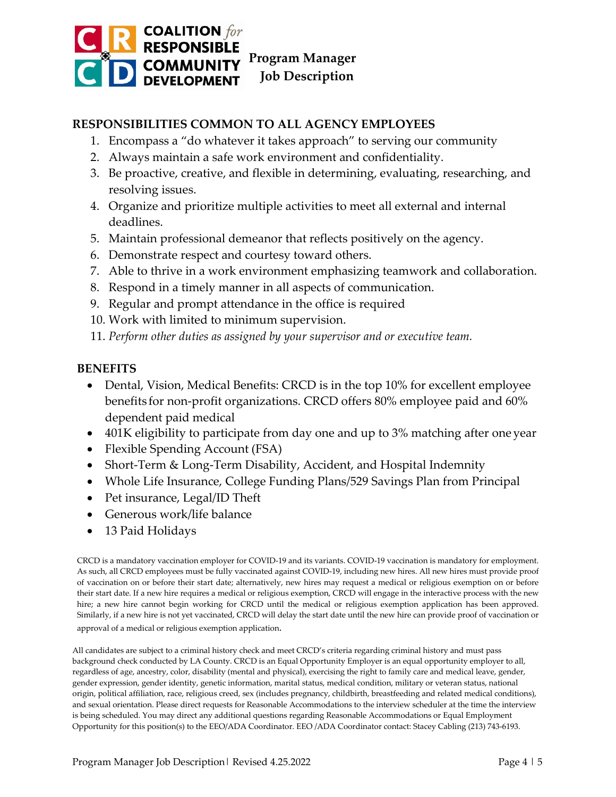

# **RESPONSIBILITIES COMMON TO ALL AGENCY EMPLOYEES**

- 1. Encompass a "do whatever it takes approach" to serving our community
- 2. Always maintain a safe work environment and confidentiality.
- 3. Be proactive, creative, and flexible in determining, evaluating, researching, and resolving issues.
- 4. Organize and prioritize multiple activities to meet all external and internal deadlines.
- 5. Maintain professional demeanor that reflects positively on the agency.
- 6. Demonstrate respect and courtesy toward others.
- 7. Able to thrive in a work environment emphasizing teamwork and collaboration.
- 8. Respond in a timely manner in all aspects of communication.
- 9. Regular and prompt attendance in the office is required
- 10. Work with limited to minimum supervision.
- 11. *Perform other duties as assigned by your supervisor and or executive team.*

#### **BENEFITS**

- Dental, Vision, Medical Benefits: CRCD is in the top 10% for excellent employee benefits for non-profit organizations. CRCD offers 80% employee paid and 60% dependent paid medical
- 401K eligibility to participate from day one and up to 3% matching after one year
- Flexible Spending Account (FSA)
- Short-Term & Long-Term Disability, Accident, and Hospital Indemnity
- Whole Life Insurance, College Funding Plans/529 Savings Plan from Principal
- Pet insurance, Legal/ID Theft
- Generous work/life balance
- 13 Paid Holidays

CRCD is a mandatory vaccination employer for COVID-19 and its variants. COVID-19 vaccination is mandatory for employment. As such, all CRCD employees must be fully vaccinated against COVID-19, including new hires. All new hires must provide proof of vaccination on or before their start date; alternatively, new hires may request a medical or religious exemption on or before their start date. If a new hire requires a medical or religious exemption, CRCD will engage in the interactive process with the new hire; a new hire cannot begin working for CRCD until the medical or religious exemption application has been approved. Similarly, if a new hire is not yet vaccinated, CRCD will delay the start date until the new hire can provide proof of vaccination or approval of a medical or religious exemption application.

All candidates are subject to a criminal history check and meet CRCD's criteria regarding criminal history and must pass background check conducted by LA County. CRCD is an Equal Opportunity Employer is an equal opportunity employer to all, regardless of age, ancestry, color, disability (mental and physical), exercising the right to family care and medical leave, gender, gender expression, gender identity, genetic information, marital status, medical condition, military or veteran status, national origin, political affiliation, race, religious creed, sex (includes pregnancy, childbirth, breastfeeding and related medical conditions), and sexual orientation. Please direct requests for Reasonable Accommodations to the interview scheduler at the time the interview is being scheduled. You may direct any additional questions regarding Reasonable Accommodations or Equal Employment Opportunity for this position(s) to the EEO/ADA Coordinator. EEO /ADA Coordinator contact: Stacey Cabling (213) 743-6193.